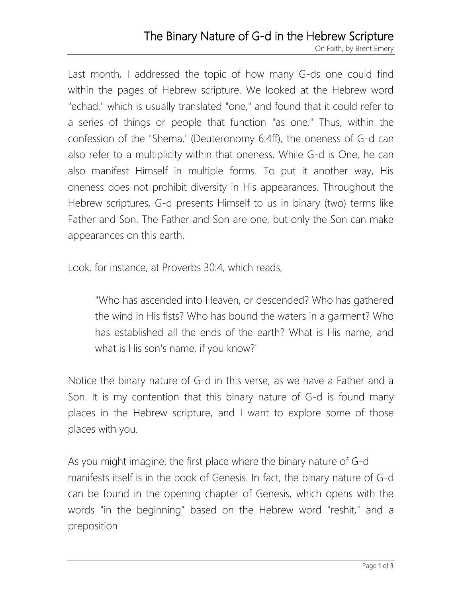## The Binary Nature of G-d in the Hebrew Scripture

On Faith, by Brent Emery

Last month, I addressed the topic of how many G-ds one could find within the pages of Hebrew scripture. We looked at the Hebrew word "echad," which is usually translated "one," and found that it could refer to a series of things or people that function "as one." Thus, within the confession of the "Shema,' (Deuteronomy 6:4ff), the oneness of G-d can also refer to a multiplicity within that oneness. While G-d is One, he can also manifest Himself in multiple forms. To put it another way, His oneness does not prohibit diversity in His appearances. Throughout the Hebrew scriptures, G-d presents Himself to us in binary (two) terms like Father and Son. The Father and Son are one, but only the Son can make appearances on this earth.

Look, for instance, at Proverbs 30:4, which reads,

"Who has ascended into Heaven, or descended? Who has gathered the wind in His fists? Who has bound the waters in a garment? Who has established all the ends of the earth? What is His name, and what is His son's name, if you know?"

Notice the binary nature of G-d in this verse, as we have a Father and a Son. It is my contention that this binary nature of G-d is found many places in the Hebrew scripture, and I want to explore some of those places with you.

As you might imagine, the first place where the binary nature of G-d manifests itself is in the book of Genesis. In fact, the binary nature of G-d can be found in the opening chapter of Genesis, which opens with the words "in the beginning" based on the Hebrew word "reshit," and a preposition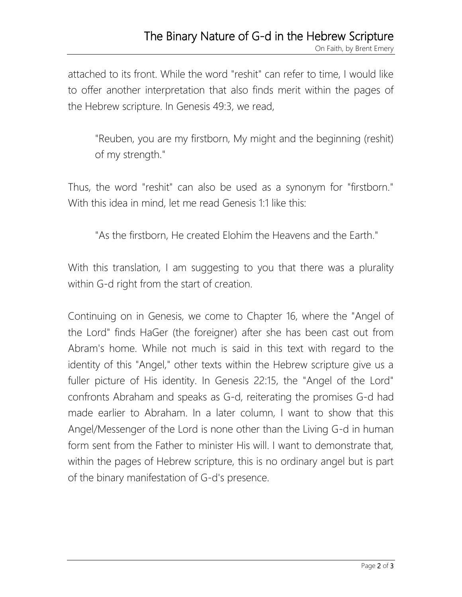attached to its front. While the word "reshit" can refer to time, I would like to offer another interpretation that also finds merit within the pages of the Hebrew scripture. In Genesis 49:3, we read,

"Reuben, you are my firstborn, My might and the beginning (reshit) of my strength."

Thus, the word "reshit" can also be used as a synonym for "firstborn." With this idea in mind, let me read Genesis 1:1 like this:

"As the firstborn, He created Elohim the Heavens and the Earth."

With this translation, I am suggesting to you that there was a plurality within G-d right from the start of creation.

Continuing on in Genesis, we come to Chapter 16, where the "Angel of the Lord" finds HaGer (the foreigner) after she has been cast out from Abram's home. While not much is said in this text with regard to the identity of this "Angel," other texts within the Hebrew scripture give us a fuller picture of His identity. In Genesis 22:15, the "Angel of the Lord" confronts Abraham and speaks as G-d, reiterating the promises G-d had made earlier to Abraham. In a later column, I want to show that this Angel/Messenger of the Lord is none other than the Living G-d in human form sent from the Father to minister His will. I want to demonstrate that, within the pages of Hebrew scripture, this is no ordinary angel but is part of the binary manifestation of G-d's presence.